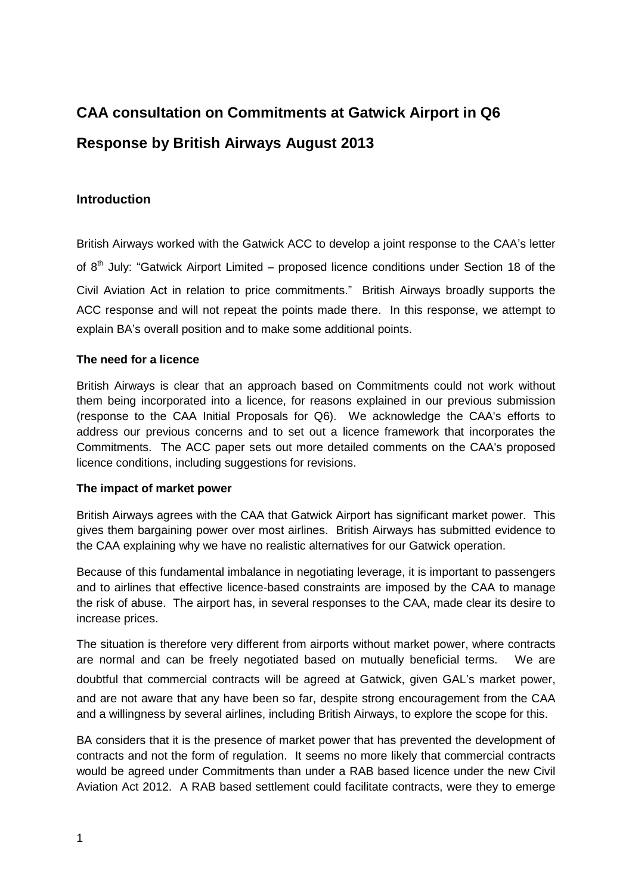# **CAA consultation on Commitments at Gatwick Airport in Q6 Response by British Airways August 2013**

## **Introduction**

British Airways worked with the Gatwick ACC to develop a joint response to the CAA's letter of  $8<sup>th</sup>$  July: "Gatwick Airport Limited – proposed licence conditions under Section 18 of the Civil Aviation Act in relation to price commitments." British Airways broadly supports the ACC response and will not repeat the points made there. In this response, we attempt to explain BA's overall position and to make some additional points.

#### **The need for a licence**

British Airways is clear that an approach based on Commitments could not work without them being incorporated into a licence, for reasons explained in our previous submission (response to the CAA Initial Proposals for Q6). We acknowledge the CAA's efforts to address our previous concerns and to set out a licence framework that incorporates the Commitments. The ACC paper sets out more detailed comments on the CAA's proposed licence conditions, including suggestions for revisions.

#### **The impact of market power**

British Airways agrees with the CAA that Gatwick Airport has significant market power. This gives them bargaining power over most airlines. British Airways has submitted evidence to the CAA explaining why we have no realistic alternatives for our Gatwick operation.

Because of this fundamental imbalance in negotiating leverage, it is important to passengers and to airlines that effective licence-based constraints are imposed by the CAA to manage the risk of abuse. The airport has, in several responses to the CAA, made clear its desire to increase prices.

The situation is therefore very different from airports without market power, where contracts are normal and can be freely negotiated based on mutually beneficial terms. We are doubtful that commercial contracts will be agreed at Gatwick, given GAL's market power, and are not aware that any have been so far, despite strong encouragement from the CAA and a willingness by several airlines, including British Airways, to explore the scope for this.

BA considers that it is the presence of market power that has prevented the development of contracts and not the form of regulation. It seems no more likely that commercial contracts would be agreed under Commitments than under a RAB based licence under the new Civil Aviation Act 2012. A RAB based settlement could facilitate contracts, were they to emerge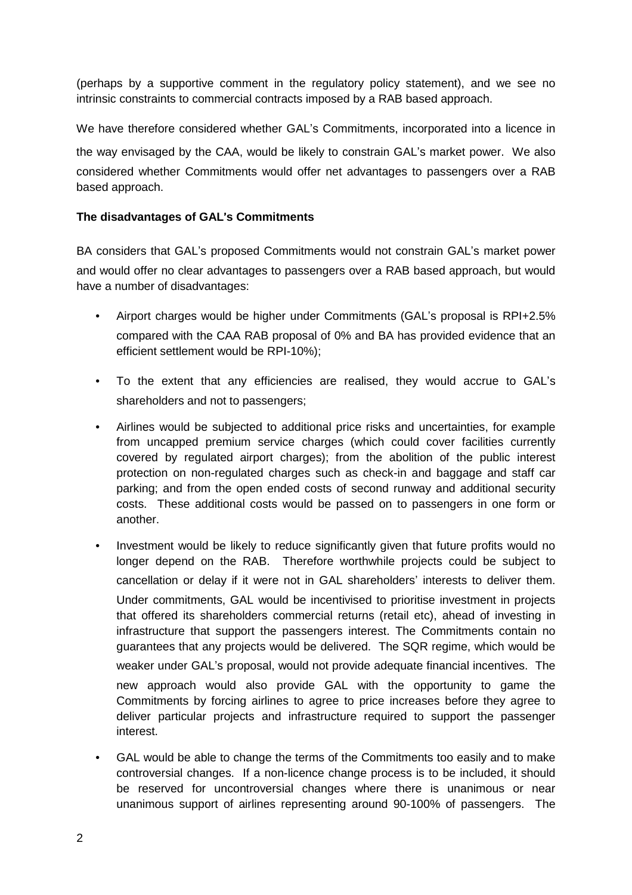(perhaps by a supportive comment in the regulatory policy statement), and we see no intrinsic constraints to commercial contracts imposed by a RAB based approach.

We have therefore considered whether GAL's Commitments, incorporated into a licence in the way envisaged by the CAA, would be likely to constrain GAL's market power. We also considered whether Commitments would offer net advantages to passengers over a RAB based approach.

### **The disadvantages of GAL**'**s Commitments**

BA considers that GAL's proposed Commitments would not constrain GAL's market power and would offer no clear advantages to passengers over a RAB based approach, but would have a number of disadvantages:

- Airport charges would be higher under Commitments (GAL's proposal is RPI+2.5% compared with the CAA RAB proposal of 0% and BA has provided evidence that an efficient settlement would be RPI-10%);
- To the extent that any efficiencies are realised, they would accrue to GAL's shareholders and not to passengers;
- Airlines would be subjected to additional price risks and uncertainties, for example from uncapped premium service charges (which could cover facilities currently covered by regulated airport charges); from the abolition of the public interest protection on non-regulated charges such as check-in and baggage and staff car parking; and from the open ended costs of second runway and additional security costs. These additional costs would be passed on to passengers in one form or another.
- Investment would be likely to reduce significantly given that future profits would no longer depend on the RAB. Therefore worthwhile projects could be subject to cancellation or delay if it were not in GAL shareholders' interests to deliver them. Under commitments, GAL would be incentivised to prioritise investment in projects that offered its shareholders commercial returns (retail etc), ahead of investing in infrastructure that support the passengers interest. The Commitments contain no guarantees that any projects would be delivered. The SQR regime, which would be weaker under GAL's proposal, would not provide adequate financial incentives. The new approach would also provide GAL with the opportunity to game the Commitments by forcing airlines to agree to price increases before they agree to deliver particular projects and infrastructure required to support the passenger interest.
- GAL would be able to change the terms of the Commitments too easily and to make controversial changes. If a non-licence change process is to be included, it should be reserved for uncontroversial changes where there is unanimous or near unanimous support of airlines representing around 90-100% of passengers. The